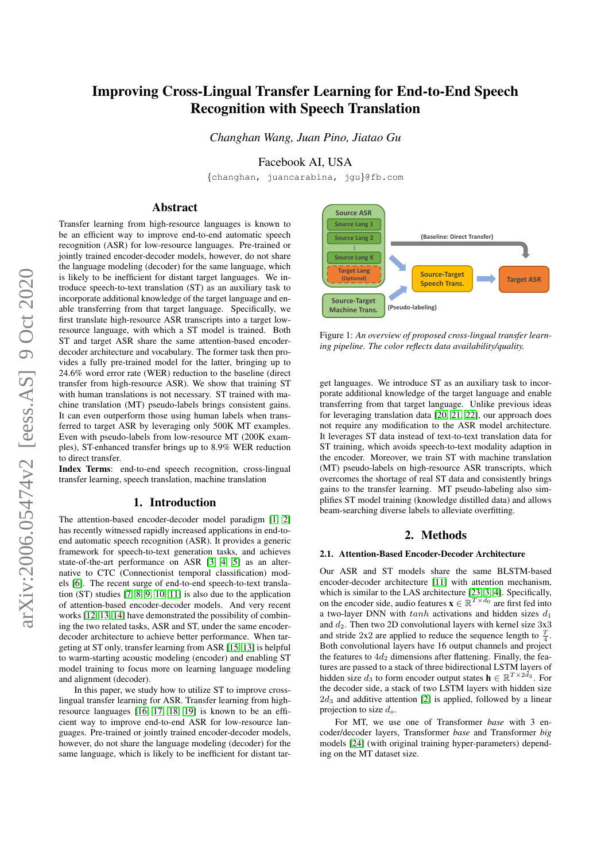# Improving Cross-Lingual Transfer Learning for End-to-End Speech Recognition with Speech Translation

*Changhan Wang, Juan Pino, Jiatao Gu*

Facebook AI, USA

{changhan, juancarabina, jgu}@fb.com

# Abstract

Transfer learning from high-resource languages is known to be an efficient way to improve end-to-end automatic speech recognition (ASR) for low-resource languages. Pre-trained or jointly trained encoder-decoder models, however, do not share the language modeling (decoder) for the same language, which is likely to be inefficient for distant target languages. We introduce speech-to-text translation (ST) as an auxiliary task to incorporate additional knowledge of the target language and enable transferring from that target language. Specifically, we first translate high-resource ASR transcripts into a target lowresource language, with which a ST model is trained. Both ST and target ASR share the same attention-based encoderdecoder architecture and vocabulary. The former task then provides a fully pre-trained model for the latter, bringing up to 24.6% word error rate (WER) reduction to the baseline (direct transfer from high-resource ASR). We show that training ST with human translations is not necessary. ST trained with machine translation (MT) pseudo-labels brings consistent gains. It can even outperform those using human labels when transferred to target ASR by leveraging only 500K MT examples. Even with pseudo-labels from low-resource MT (200K examples), ST-enhanced transfer brings up to 8.9% WER reduction to direct transfer.

Index Terms: end-to-end speech recognition, cross-lingual transfer learning, speech translation, machine translation

# 1. Introduction

The attention-based encoder-decoder model paradigm [\[1,](#page-3-0) [2\]](#page-3-1) has recently witnessed rapidly increased applications in end-toend automatic speech recognition (ASR). It provides a generic framework for speech-to-text generation tasks, and achieves state-of-the-art performance on ASR [\[3,](#page-3-2) [4,](#page-3-3) [5\]](#page-3-4) as an alternative to CTC (Connectionist temporal classification) models [\[6\]](#page-3-5). The recent surge of end-to-end speech-to-text translation (ST) studies [\[7,](#page-4-0) [8,](#page-4-1) [9,](#page-4-2) [10,](#page-4-3) [11\]](#page-4-4) is also due to the application of attention-based encoder-decoder models. And very recent works [\[12,](#page-4-5) [13,](#page-4-6) [14\]](#page-4-7) have demonstrated the possibility of combining the two related tasks, ASR and ST, under the same encoderdecoder architecture to achieve better performance. When targeting at ST only, transfer learning from ASR [\[15,](#page-4-8) [13\]](#page-4-6) is helpful to warm-starting acoustic modeling (encoder) and enabling ST model training to focus more on learning language modeling and alignment (decoder).

In this paper, we study how to utilize ST to improve crosslingual transfer learning for ASR. Transfer learning from highresource languages [\[16,](#page-4-9) [17,](#page-4-10) [18,](#page-4-11) [19\]](#page-4-12) is known to be an efficient way to improve end-to-end ASR for low-resource languages. Pre-trained or jointly trained encoder-decoder models, however, do not share the language modeling (decoder) for the same language, which is likely to be inefficient for distant tar-

<span id="page-0-0"></span>

Figure 1: *An overview of proposed cross-lingual transfer learning pipeline. The color reflects data availability/quality.*

get languages. We introduce ST as an auxiliary task to incorporate additional knowledge of the target language and enable transferring from that target language. Unlike previous ideas for leveraging translation data [\[20,](#page-4-13) [21,](#page-4-14) [22\]](#page-4-15), our approach does not require any modification to the ASR model architecture. It leverages ST data instead of text-to-text translation data for ST training, which avoids speech-to-text modality adaption in the encoder. Moreover, we train ST with machine translation (MT) pseudo-labels on high-resource ASR transcripts, which overcomes the shortage of real ST data and consistently brings gains to the transfer learning. MT pseudo-labeling also simplifies ST model training (knowledge distilled data) and allows beam-searching diverse labels to alleviate overfitting.

# 2. Methods

#### 2.1. Attention-Based Encoder-Decoder Architecture

Our ASR and ST models share the same BLSTM-based encoder-decoder architecture [\[11\]](#page-4-4) with attention mechanism, which is similar to the LAS architecture [\[23,](#page-4-16) [3,](#page-3-2) [4\]](#page-3-3). Specifically, on the encoder side, audio features  $\mathbf{x} \in \mathbb{R}^{T \times d_0}$  are first fed into a two-layer DNN with  $tanh$  activations and hidden sizes  $d_1$ and  $d_2$ . Then two 2D convolutional layers with kernel size  $3x3$ and stride 2x2 are applied to reduce the sequence length to  $\frac{T}{4}$ . Both convolutional layers have 16 output channels and project the features to  $4d_2$  dimensions after flattening. Finally, the features are passed to a stack of three bidirectional LSTM layers of hidden size  $d_3$  to form encoder output states  $\mathbf{h} \in \mathbb{R}^{T \times 2d_3}$ . For the decoder side, a stack of two LSTM layers with hidden size  $2d_3$  and additive attention [\[2\]](#page-3-1) is applied, followed by a linear projection to size  $d_o$ .

For MT, we use one of Transformer *base* with 3 encoder/decoder layers, Transformer *base* and Transformer *big* models [\[24\]](#page-4-17) (with original training hyper-parameters) depending on the MT dataset size.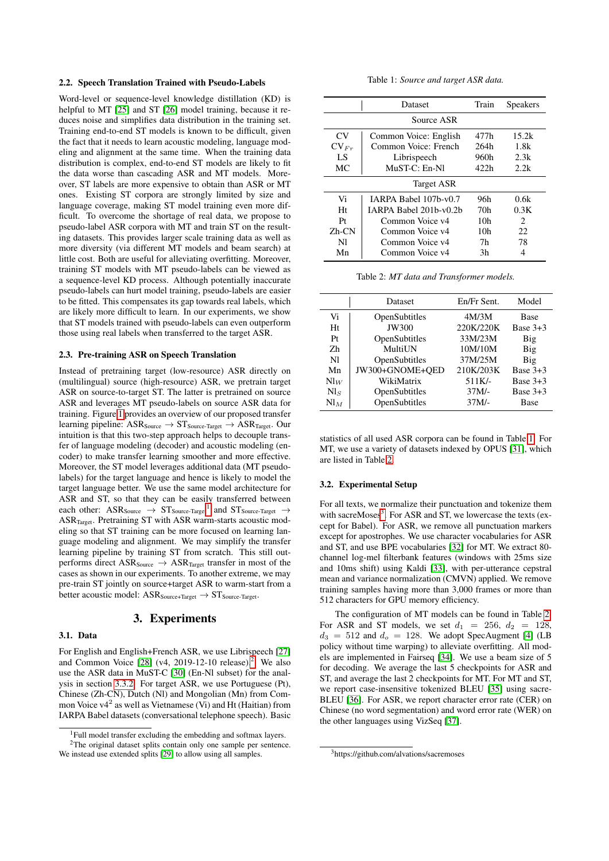### 2.2. Speech Translation Trained with Pseudo-Labels

Word-level or sequence-level knowledge distillation (KD) is helpful to MT [\[25\]](#page-4-18) and ST [\[26\]](#page-4-19) model training, because it reduces noise and simplifies data distribution in the training set. Training end-to-end ST models is known to be difficult, given the fact that it needs to learn acoustic modeling, language modeling and alignment at the same time. When the training data distribution is complex, end-to-end ST models are likely to fit the data worse than cascading ASR and MT models. Moreover, ST labels are more expensive to obtain than ASR or MT ones. Existing ST corpora are strongly limited by size and language coverage, making ST model training even more difficult. To overcome the shortage of real data, we propose to pseudo-label ASR corpora with MT and train ST on the resulting datasets. This provides larger scale training data as well as more diversity (via different MT models and beam search) at little cost. Both are useful for alleviating overfitting. Moreover, training ST models with MT pseudo-labels can be viewed as a sequence-level KD process. Although potentially inaccurate pseudo-labels can hurt model training, pseudo-labels are easier to be fitted. This compensates its gap towards real labels, which are likely more difficult to learn. In our experiments, we show that ST models trained with pseudo-labels can even outperform those using real labels when transferred to the target ASR.

#### 2.3. Pre-training ASR on Speech Translation

Instead of pretraining target (low-resource) ASR directly on (multilingual) source (high-resource) ASR, we pretrain target ASR on source-to-target ST. The latter is pretrained on source ASR and leverages MT pseudo-labels on source ASR data for training. Figure [1](#page-0-0) provides an overview of our proposed transfer learning pipeline:  $ASR_{Source} \rightarrow ST_{Source-Target} \rightarrow ASR_{Target}$ . Our intuition is that this two-step approach helps to decouple transfer of language modeling (decoder) and acoustic modeling (encoder) to make transfer learning smoother and more effective. Moreover, the ST model leverages additional data (MT pseudolabels) for the target language and hence is likely to model the target language better. We use the same model architecture for ASR and ST, so that they can be easily transferred between each other: ASR<sub>Source</sub>  $\rightarrow$  ST<sub>Source-Target</sub><sup>[1](#page-1-0)</sup> and ST<sub>Source-Target</sub>  $\rightarrow$ ASR<sub>Target</sub>. Pretraining ST with ASR warm-starts acoustic modeling so that ST training can be more focused on learning language modeling and alignment. We may simplify the transfer learning pipeline by training ST from scratch. This still outperforms direct  $ASR_{Source} \rightarrow ASR_{Target}$  transfer in most of the cases as shown in our experiments. To another extreme, we may pre-train ST jointly on source+target ASR to warm-start from a better acoustic model:  $\text{ASR}_{\text{Source+Target}} \rightarrow \text{ST}_{\text{Source-Target}}.$ 

# 3. Experiments

## 3.1. Data

For English and English+French ASR, we use Librispeech [\[27\]](#page-4-20) and Common Voice  $[28]$  (v4, [2](#page-1-1)019-12-10 release).<sup>2</sup> We also use the ASR data in MuST-C [\[30\]](#page-4-22) (En-Nl subset) for the analysis in section [3.3.2.](#page-2-0) For target ASR, we use Portuguese (Pt), Chinese (Zh-CN), Dutch (Nl) and Mongolian (Mn) from Common Voice  $v4^2$  as well as Vietnamese (Vi) and Ht (Haitian) from IARPA Babel datasets (conversational telephone speech). Basic

| Table 1: Source and target ASR data. |  |  |  |  |  |  |
|--------------------------------------|--|--|--|--|--|--|
|--------------------------------------|--|--|--|--|--|--|

<span id="page-1-2"></span>

|                | Dataset                | Train | <b>Speakers</b>             |  |  |  |  |
|----------------|------------------------|-------|-----------------------------|--|--|--|--|
| Source ASR     |                        |       |                             |  |  |  |  |
| CV <sub></sub> | Common Voice: English  | 477h  | 15.2k                       |  |  |  |  |
| $CV_{Fr}$      | Common Voice: French   | 264h  | 1.8k                        |  |  |  |  |
| LS             | Librispeech            | 960h  | 2.3k                        |  |  |  |  |
| MC             | $MUST-C: En-N1$        | 422h  | 2.2k                        |  |  |  |  |
| Target ASR     |                        |       |                             |  |  |  |  |
| Vi             | IARPA Babel 107b-y0.7  | 96h   | 0.6k                        |  |  |  |  |
| Ht             | IARPA Babel 201b-y0.2b | 70h   | 0.3K                        |  |  |  |  |
| Pt             | Common Voice v4        | 10h   | $\mathcal{D}_{\mathcal{L}}$ |  |  |  |  |
| $Zh$ - $CN$    | Common Voice v4        | 10h   | 22.                         |  |  |  |  |
| Nl             | Common Voice v4        | 7h    | 78                          |  |  |  |  |
| Mn             | Common Voice v4        | 3h    |                             |  |  |  |  |

Table 2: *MT data and Transformer models.*

<span id="page-1-3"></span>

|                 | Dataset         | En/Fr Sent. | Model       |
|-----------------|-----------------|-------------|-------------|
| Vi              | OpenSubtitles   | 4M/3M       | <b>Base</b> |
| Ht              | JW300           | 220K/220K   | Base $3+3$  |
| Pr              | OpenSubtitles   | 33M/23M     | Big         |
| Zh              | MultiUN         | 10M/10M     | Big         |
| N <sub>1</sub>  | OpenSubtitles   | 37M/25M     | Big         |
| Mn              | JW300+GNOME+QED | 210K/203K   | Base $3+3$  |
| $\text{Nl}_W$   | WikiMatrix      | 511K/-      | Base $3+3$  |
| $Nl_S$          | OpenSubtitles   | $37M/-$     | Base $3+3$  |
| $\mathrm{NI}_M$ | OpenSubtitles   | $37M/-$     | <b>Base</b> |

statistics of all used ASR corpora can be found in Table [1.](#page-1-2) For MT, we use a variety of datasets indexed by OPUS [\[31\]](#page-4-24), which are listed in Table [2.](#page-1-3)

#### 3.2. Experimental Setup

For all texts, we normalize their punctuation and tokenize them with sacreMoses<sup>[3](#page-1-4)</sup>. For ASR and ST, we lowercase the texts (except for Babel). For ASR, we remove all punctuation markers except for apostrophes. We use character vocabularies for ASR and ST, and use BPE vocabularies [\[32\]](#page-4-25) for MT. We extract 80 channel log-mel filterbank features (windows with 25ms size and 10ms shift) using Kaldi [\[33\]](#page-4-26), with per-utterance cepstral mean and variance normalization (CMVN) applied. We remove training samples having more than 3,000 frames or more than 512 characters for GPU memory efficiency.

The configuration of MT models can be found in Table [2.](#page-1-3) For ASR and ST models, we set  $d_1 = 256$ ,  $d_2 = 128$ ,  $d_3 = 512$  and  $d_0 = 128$ . We adopt SpecAugment [\[4\]](#page-3-3) (LB policy without time warping) to alleviate overfitting. All models are implemented in Fairseq [\[34\]](#page-4-27). We use a beam size of 5 for decoding. We average the last 5 checkpoints for ASR and ST, and average the last 2 checkpoints for MT. For MT and ST, we report case-insensitive tokenized BLEU [\[35\]](#page-4-28) using sacre-BLEU [\[36\]](#page-4-29). For ASR, we report character error rate (CER) on Chinese (no word segmentation) and word error rate (WER) on the other languages using VizSeq [\[37\]](#page-4-30).

<span id="page-1-1"></span><span id="page-1-0"></span> $1$ Full model transfer excluding the embedding and softmax layers. <sup>2</sup>The original dataset splits contain only one sample per sentence.

We instead use extended splits [\[29\]](#page-4-23) to allow using all samples.

<span id="page-1-4"></span><sup>3</sup>https://github.com/alvations/sacremoses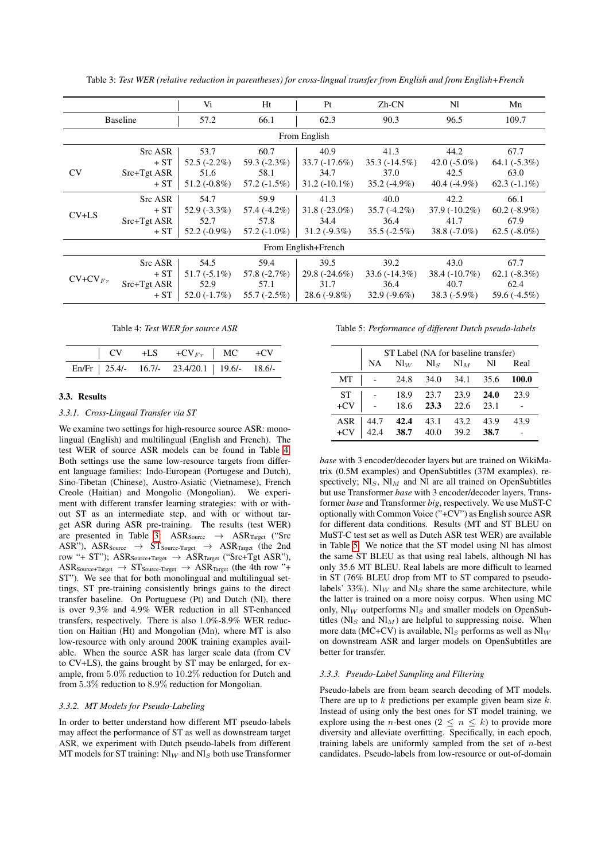<span id="page-2-2"></span>

|                     |                                          | Vi                                               | Ht                                               | Pt                                                | Zh-CN                                             | Nl                                                 | Mn                                                |
|---------------------|------------------------------------------|--------------------------------------------------|--------------------------------------------------|---------------------------------------------------|---------------------------------------------------|----------------------------------------------------|---------------------------------------------------|
| <b>Baseline</b>     |                                          | 57.2                                             | 66.1                                             | 62.3                                              | 90.3                                              | 96.5                                               | 109.7                                             |
|                     |                                          |                                                  |                                                  | From English                                      |                                                   |                                                    |                                                   |
| <b>CV</b>           | Src ASR<br>$+ST$<br>Src+Tgt ASR<br>$+ST$ | 53.7<br>$52.5(-2.2\%)$<br>51.6<br>$51.2(-0.8\%)$ | 60.7<br>59.3 $(-2.3\%)$<br>58.1<br>$57.2(-1.5%)$ | 40.9<br>$33.7(-17.6%)$<br>34.7<br>$31.2(-10.1\%)$ | 41.3<br>$35.3(-14.5\%)$<br>37.0<br>$35.2(-4.9\%)$ | 44.2<br>42.0 $(-5.0\%)$<br>42.5<br>40.4 $(-4.9\%)$ | 67.7<br>64.1 $(-5.3\%)$<br>63.0<br>$62.3(-1.1\%)$ |
| $CV+LS$             | Src ASR<br>$+ST$<br>Src+Tgt ASR<br>$+ST$ | 54.7<br>$52.9(-3.3\%)$<br>52.7<br>$52.2(-0.9\%)$ | 59.9<br>57.4 (-4.2%)<br>57.8<br>$57.2(-1.0\%)$   | 41.3<br>$31.8(-23.0\%)$<br>34.4<br>$31.2(-9.3\%)$ | 40.0<br>$35.7(-4.2\%)$<br>36.4<br>$35.5(-2.5\%)$  | 42.2<br>$37.9(-10.2\%)$<br>41.7<br>$38.8(-7.0\%)$  | 66.1<br>$60.2(-8.9\%)$<br>67.9<br>$62.5(-8.0\%)$  |
| From English+French |                                          |                                                  |                                                  |                                                   |                                                   |                                                    |                                                   |
| $CV+CV_{Fr}$        | Src ASR<br>$+ST$<br>Src+Tgt ASR<br>$+ST$ | 54.5<br>$51.7(-5.1\%)$<br>52.9<br>$52.0(-1.7\%)$ | 59.4<br>57.8 $(-2.7%)$<br>57.1<br>$55.7(-2.5%)$  | 39.5<br>$29.8(-24.6\%)$<br>31.7<br>$28.6(-9.8\%)$ | 39.2<br>$33.6(-14.3\%)$<br>36.4<br>$32.9(-9.6\%)$ | 43.0<br>$38.4(-10.7\%)$<br>40.7<br>$38.3(-5.9\%)$  | 67.7<br>$62.1(-8.3%)$<br>62.4<br>59.6 (-4.5%)     |

Table 3: *Test WER (relative reduction in parentheses) for cross-lingual transfer from English and from English+French*

Table 4: *Test WER for source ASR*

<span id="page-2-1"></span>

|  | En/Fr   25.4/- 16.7/- 23.4/20.1   19.6/- 18.6/- |  |
|--|-------------------------------------------------|--|

#### 3.3. Results

#### *3.3.1. Cross-Lingual Transfer via ST*

We examine two settings for high-resource source ASR: monolingual (English) and multilingual (English and French). The test WER of source ASR models can be found in Table [4.](#page-2-1) Both settings use the same low-resource targets from different language families: Indo-European (Portugese and Dutch), Sino-Tibetan (Chinese), Austro-Asiatic (Vietnamese), French Creole (Haitian) and Mongolic (Mongolian). We experiment with different transfer learning strategies: with or without ST as an intermediate step, and with or without target ASR during ASR pre-training. The results (test WER) are presented in Table [3:](#page-2-2)  $ASR_{Source} \rightarrow ASR_{Target}$  ("Src  $ASR''$ ),  $ASR_{Source}$   $\rightarrow$   $ST_{Source-Target}$   $\rightarrow$   $ASR_{Target}$  (the 2nd row "+ ST");  $\text{ASR}_{\text{Source+Target}} \rightarrow \text{ASR}_{\text{Target}}$  ("Src+Tgt ASR"),  $\text{ASR}_{\text{Source+Target}} \rightarrow \text{ST}_{\text{Source-Target}} \rightarrow \text{ASR}_{\text{Target}}$  (the 4th row "+ ST"). We see that for both monolingual and multilingual settings, ST pre-training consistently brings gains to the direct transfer baseline. On Portuguese (Pt) and Dutch (Nl), there is over 9.3% and 4.9% WER reduction in all ST-enhanced transfers, respectively. There is also 1.0%-8.9% WER reduction on Haitian (Ht) and Mongolian (Mn), where MT is also low-resource with only around 200K training examples available. When the source ASR has larger scale data (from CV to CV+LS), the gains brought by ST may be enlarged, for example, from 5.0% reduction to 10.2% reduction for Dutch and from 5.3% reduction to 8.9% reduction for Mongolian.

#### <span id="page-2-0"></span>*3.3.2. MT Models for Pseudo-Labeling*

In order to better understand how different MT pseudo-labels may affect the performance of ST as well as downstream target ASR, we experiment with Dutch pseudo-labels from different MT models for ST training:  $N_{W}$  and  $N_{S}$  both use Transformer <span id="page-2-3"></span>Table 5: *Performance of different Dutch pseudo-labels*

|            | ST Label (NA for baseline transfer) |        |          |        |      |       |  |
|------------|-------------------------------------|--------|----------|--------|------|-------|--|
|            | NA                                  | $Nl_W$ | $N\!l_S$ | $Nl_M$ | Nl   | Real  |  |
| МT         |                                     | 24.8   | 34.0     | 34.1   | 35.6 | 100.0 |  |
| <b>ST</b>  |                                     | 18.9   | 23.7     | 23.9   | 24.0 | 23.9  |  |
| $+CV$      |                                     | 18.6   | 23.3     | 22.6   | 23.1 |       |  |
| <b>ASR</b> | 44.7                                | 42.4   | 43.1     | 43.2   | 43.9 | 43.9  |  |
| $+CV$      | 42.4                                | 38.7   | 40.0     | 39.2   | 38.7 |       |  |

*base* with 3 encoder/decoder layers but are trained on WikiMatrix (0.5M examples) and OpenSubtitles (37M examples), respectively;  $N\mathbf{I}_S$ ,  $N\mathbf{I}_M$  and Nl are all trained on OpenSubtitles but use Transformer *base* with 3 encoder/decoder layers, Transformer *base* and Transformer *big*, respectively. We use MuST-C optionally with Common Voice ("+CV") as English source ASR for different data conditions. Results (MT and ST BLEU on MuST-C test set as well as Dutch ASR test WER) are available in Table [5.](#page-2-3) We notice that the ST model using Nl has almost the same ST BLEU as that using real labels, although Nl has only 35.6 MT BLEU. Real labels are more difficult to learned in ST (76% BLEU drop from MT to ST compared to pseudolabels' 33%). Nl<sub>W</sub> and Nl<sub>S</sub> share the same architecture, while the latter is trained on a more noisy corpus. When using MC only,  $\text{NI}_W$  outperforms  $\text{NI}_S$  and smaller models on OpenSubtitles ( $Nl<sub>S</sub>$  and  $Nl<sub>M</sub>$ ) are helpful to suppressing noise. When more data (MC+CV) is available, Nl<sub>S</sub> performs as well as  $N\vert_W$ on downstream ASR and larger models on OpenSubtitles are better for transfer.

#### *3.3.3. Pseudo-Label Sampling and Filtering*

Pseudo-labels are from beam search decoding of MT models. There are up to  $k$  predictions per example given beam size  $k$ . Instead of using only the best ones for ST model training, we explore using the *n*-best ones ( $2 \le n \le k$ ) to provide more diversity and alleviate overfitting. Specifically, in each epoch, training labels are uniformly sampled from the set of  $n$ -best candidates. Pseudo-labels from low-resource or out-of-domain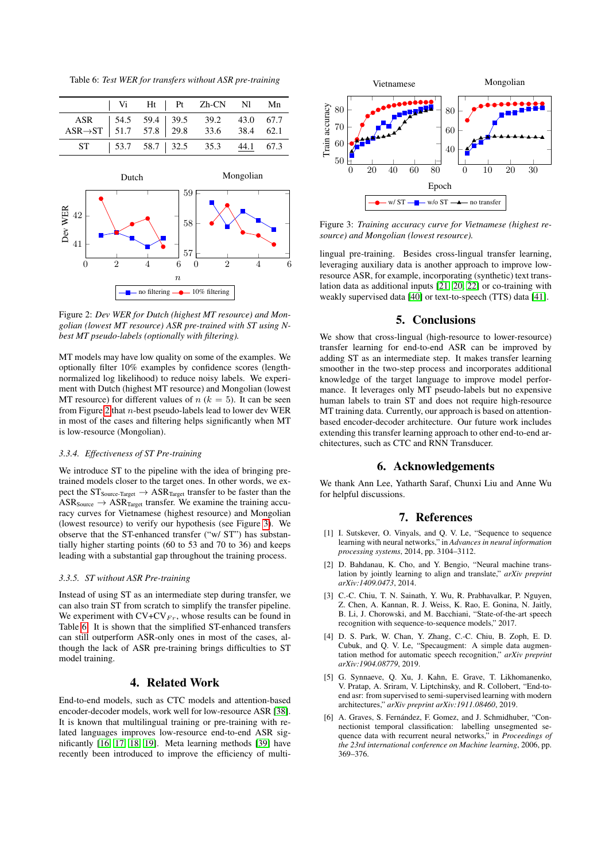<span id="page-3-8"></span>Table 6: *Test WER for transfers without ASR pre-training*

<span id="page-3-6"></span>

Figure 2: *Dev WER for Dutch (highest MT resource) and Mongolian (lowest MT resource) ASR pre-trained with ST using Nbest MT pseudo-labels (optionally with filtering).*

MT models may have low quality on some of the examples. We optionally filter 10% examples by confidence scores (lengthnormalized log likelihood) to reduce noisy labels. We experiment with Dutch (highest MT resource) and Mongolian (lowest MT resource) for different values of  $n (k = 5)$ . It can be seen from Figure [2](#page-3-6) that  $n$ -best pseudo-labels lead to lower dev WER in most of the cases and filtering helps significantly when MT is low-resource (Mongolian).

## *3.3.4. Effectiveness of ST Pre-training*

We introduce ST to the pipeline with the idea of bringing pretrained models closer to the target ones. In other words, we expect the  $ST_{Source-Target} \rightarrow ASR_{Target}$  transfer to be faster than the  $ASR_{Source} \rightarrow ASR_{Target}$  transfer. We examine the training accuracy curves for Vietnamese (highest resource) and Mongolian (lowest resource) to verify our hypothesis (see Figure [3\)](#page-3-7). We observe that the ST-enhanced transfer ("w/ ST") has substantially higher starting points (60 to 53 and 70 to 36) and keeps leading with a substantial gap throughout the training process.

#### *3.3.5. ST without ASR Pre-training*

Instead of using ST as an intermediate step during transfer, we can also train ST from scratch to simplify the transfer pipeline. We experiment with  $CV+CV_{Fr}$ , whose results can be found in Table [6.](#page-3-8) It is shown that the simplified ST-enhanced transfers can still outperform ASR-only ones in most of the cases, although the lack of ASR pre-training brings difficulties to ST model training.

# 4. Related Work

End-to-end models, such as CTC models and attention-based encoder-decoder models, work well for low-resource ASR [\[38\]](#page-4-31). It is known that multilingual training or pre-training with related languages improves low-resource end-to-end ASR significantly [\[16,](#page-4-9) [17,](#page-4-10) [18,](#page-4-11) [19\]](#page-4-12). Meta learning methods [\[39\]](#page-4-32) have recently been introduced to improve the efficiency of multi-

<span id="page-3-7"></span>

Figure 3: *Training accuracy curve for Vietnamese (highest resource) and Mongolian (lowest resource).*

lingual pre-training. Besides cross-lingual transfer learning, leveraging auxiliary data is another approach to improve lowresource ASR, for example, incorporating (synthetic) text translation data as additional inputs [\[21,](#page-4-14) [20,](#page-4-13) [22\]](#page-4-15) or co-training with weakly supervised data [\[40\]](#page-4-33) or text-to-speech (TTS) data [\[41\]](#page-4-34).

# 5. Conclusions

We show that cross-lingual (high-resource to lower-resource) transfer learning for end-to-end ASR can be improved by adding ST as an intermediate step. It makes transfer learning smoother in the two-step process and incorporates additional knowledge of the target language to improve model performance. It leverages only MT pseudo-labels but no expensive human labels to train ST and does not require high-resource MT training data. Currently, our approach is based on attentionbased encoder-decoder architecture. Our future work includes extending this transfer learning approach to other end-to-end architectures, such as CTC and RNN Transducer.

# 6. Acknowledgements

We thank Ann Lee, Yatharth Saraf, Chunxi Liu and Anne Wu for helpful discussions.

# 7. References

- <span id="page-3-0"></span>[1] I. Sutskever, O. Vinyals, and Q. V. Le, "Sequence to sequence learning with neural networks," in *Advances in neural information processing systems*, 2014, pp. 3104–3112.
- <span id="page-3-1"></span>[2] D. Bahdanau, K. Cho, and Y. Bengio, "Neural machine translation by jointly learning to align and translate," *arXiv preprint arXiv:1409.0473*, 2014.
- <span id="page-3-2"></span>[3] C.-C. Chiu, T. N. Sainath, Y. Wu, R. Prabhavalkar, P. Nguyen, Z. Chen, A. Kannan, R. J. Weiss, K. Rao, E. Gonina, N. Jaitly, B. Li, J. Chorowski, and M. Bacchiani, "State-of-the-art speech recognition with sequence-to-sequence models," 2017.
- <span id="page-3-3"></span>[4] D. S. Park, W. Chan, Y. Zhang, C.-C. Chiu, B. Zoph, E. D. Cubuk, and Q. V. Le, "Specaugment: A simple data augmentation method for automatic speech recognition," *arXiv preprint arXiv:1904.08779*, 2019.
- <span id="page-3-4"></span>[5] G. Synnaeve, Q. Xu, J. Kahn, E. Grave, T. Likhomanenko, V. Pratap, A. Sriram, V. Liptchinsky, and R. Collobert, "End-toend asr: from supervised to semi-supervised learning with modern architectures," *arXiv preprint arXiv:1911.08460*, 2019.
- <span id="page-3-5"></span>[6] A. Graves, S. Fernández, F. Gomez, and J. Schmidhuber, "Connectionist temporal classification: labelling unsegmented sequence data with recurrent neural networks," in *Proceedings of the 23rd international conference on Machine learning*, 2006, pp. 369–376.